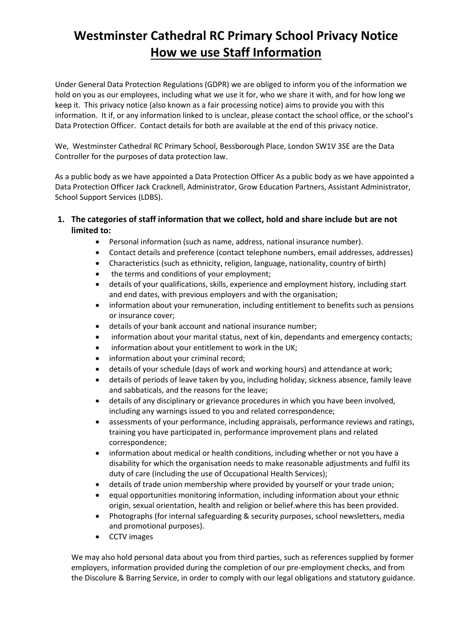# **Westminster Cathedral RC Primary School Privacy Notice How we use Staff Information**

Under General Data Protection Regulations (GDPR) we are obliged to inform you of the information we hold on you as our employees, including what we use it for, who we share it with, and for how long we keep it. This privacy notice (also known as a fair processing notice) aims to provide you with this information. It if, or any information linked to is unclear, please contact the school office, or the school's Data Protection Officer. Contact details for both are available at the end of this privacy notice.

We, Westminster Cathedral RC Primary School, Bessborough Place, London SW1V 3SE are the Data Controller for the purposes of data protection law.

As a public body as we have appointed a Data Protection Officer As a public body as we have appointed a Data Protection Officer Jack Cracknell, Administrator, Grow Education Partners, Assistant Administrator, School Support Services (LDBS).

- **1. The categories of staff information that we collect, hold and share include but are not limited to:**
	- Personal information (such as name, address, national insurance number).
	- Contact details and preference (contact telephone numbers, email addresses, addresses)
	- Characteristics (such as ethnicity, religion, language, nationality, country of birth)
	- the terms and conditions of your employment;
	- details of your qualifications, skills, experience and employment history, including start and end dates, with previous employers and with the organisation;
	- information about your remuneration, including entitlement to benefits such as pensions or insurance cover;
	- details of your bank account and national insurance number;
	- information about your marital status, next of kin, dependants and emergency contacts;
	- information about your entitlement to work in the UK;
	- information about your criminal record;
	- details of your schedule (days of work and working hours) and attendance at work;
	- details of periods of leave taken by you, including holiday, sickness absence, family leave and sabbaticals, and the reasons for the leave;
	- details of any disciplinary or grievance procedures in which you have been involved, including any warnings issued to you and related correspondence;
	- assessments of your performance, including appraisals, performance reviews and ratings, training you have participated in, performance improvement plans and related correspondence;
	- information about medical or health conditions, including whether or not you have a disability for which the organisation needs to make reasonable adjustments and fulfil its duty of care (including the use of Occupational Health Services);
	- details of trade union membership where provided by yourself or your trade union;
	- equal opportunities monitoring information, including information about your ethnic origin, sexual orientation, health and religion or belief.where this has been provided.
	- Photographs (for internal safeguarding & security purposes, school newsletters, media and promotional purposes).
	- CCTV images

We may also hold personal data about you from third parties, such as references supplied by former employers, information provided during the completion of our pre-employment checks, and from the Discolure & Barring Service, in order to comply with our legal obligations and statutory guidance.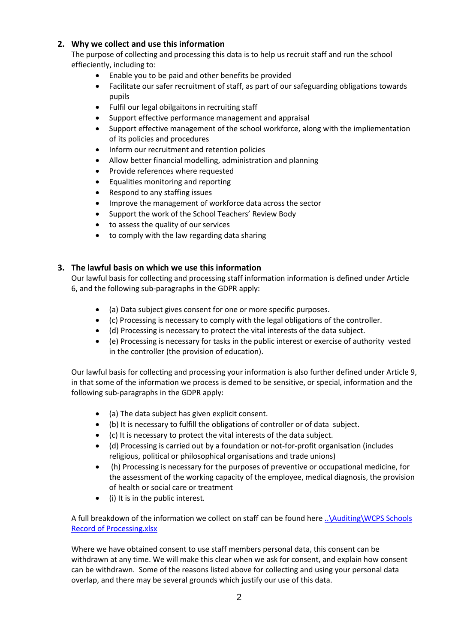# **2. Why we collect and use this information**

The purpose of collecting and processing this data is to help us recruit staff and run the school effieciently, including to:

- Enable you to be paid and other benefits be provided
- Facilitate our safer recruitment of staff, as part of our safeguarding obligations towards pupils
- Fulfil our legal obilgaitons in recruiting staff
- Support effective performance management and appraisal
- Support effective management of the school workforce, along with the impliementation of its policies and procedures
- Inform our recruitment and retention policies
- Allow better financial modelling, administration and planning
- Provide references where requested
- Equalities monitoring and reporting
- Respond to any staffing issues
- Improve the management of workforce data across the sector
- Support the work of the School Teachers' Review Body
- to assess the quality of our services
- to comply with the law regarding data sharing

# **3. The lawful basis on which we use this information**

Our lawful basis for collecting and processing staff information information is defined under Article 6, and the following sub-paragraphs in the GDPR apply:

- (a) Data subject gives consent for one or more specific purposes.
- (c) Processing is necessary to comply with the legal obligations of the controller.
- (d) Processing is necessary to protect the vital interests of the data subject.
- (e) Processing is necessary for tasks in the public interest or exercise of authority vested in the controller (the provision of education).

Our lawful basis for collecting and processing your information is also further defined under Article 9, in that some of the information we process is demed to be sensitive, or special, information and the following sub-paragraphs in the GDPR apply:

- (a) The data subject has given explicit consent.
- (b) It is necessary to fulfill the obligations of controller or of data subject.
- (c) It is necessary to protect the vital interests of the data subject.
- (d) Processing is carried out by a foundation or not-for-profit organisation (includes religious, political or philosophical organisations and trade unions)
- (h) Processing is necessary for the purposes of preventive or occupational medicine, for the assessment of the working capacity of the employee, medical diagnosis, the provision of health or social care or treatment
- (i) It is in the public interest.

A full breakdown of the information we collect on staff can be found here [..\Auditing\WCPS Schools](../Auditing/WCPS%20Schools%20Record%20of%20Processing.xlsx)  [Record of Processing.xlsx](../Auditing/WCPS%20Schools%20Record%20of%20Processing.xlsx)

Where we have obtained consent to use staff members personal data, this consent can be withdrawn at any time. We will make this clear when we ask for consent, and explain how consent can be withdrawn. Some of the reasons listed above for collecting and using your personal data overlap, and there may be several grounds which justify our use of this data.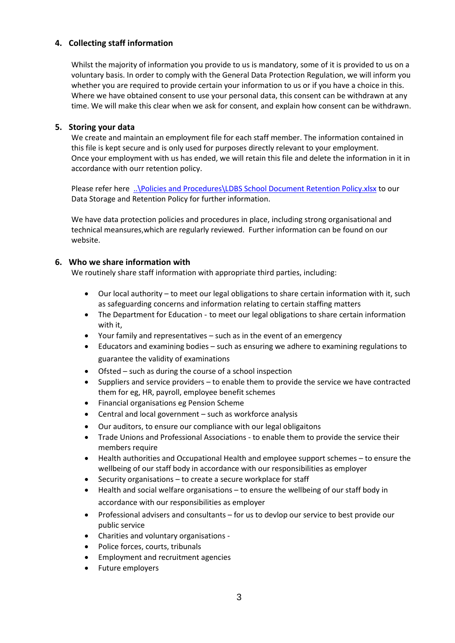# **4. Collecting staff information**

Whilst the majority of information you provide to us is mandatory, some of it is provided to us on a voluntary basis. In order to comply with the General Data Protection Regulation, we will inform you whether you are required to provide certain your information to us or if you have a choice in this. Where we have obtained consent to use your personal data, this consent can be withdrawn at any time. We will make this clear when we ask for consent, and explain how consent can be withdrawn.

# **5. Storing your data**

We create and maintain an employment file for each staff member. The information contained in this file is kept secure and is only used for purposes directly relevant to your employment. Once your employment with us has ended, we will retain this file and delete the information in it in accordance with ourr retention policy.

Please refer here [..\Policies and Procedures\LDBS School Document Retention Policy.xlsx](../Policies%20and%20Procedures/LDBS%20School%20Document%20Retention%20Policy.xlsx) to our Data Storage and Retention Policy for further information.

We have data protection policies and procedures in place, including strong organisational and technical meansures,which are regularly reviewed. Further information can be found on our website.

# **6. Who we share information with**

We routinely share staff information with appropriate third parties, including:

- Our local authority to meet our legal obligations to share certain information with it, such as safeguarding concerns and information relating to certain staffing matters
- The Department for Education to meet our legal obligations to share certain information with it,
- Your family and representatives such as in the event of an emergency
- Educators and examining bodies such as ensuring we adhere to examining regulations to guarantee the validity of examinations
- Ofsted such as during the course of a school inspection
- Suppliers and service providers to enable them to provide the service we have contracted them for eg, HR, payroll, employee benefit schemes
- Financial organisations eg Pension Scheme
- Central and local government such as workforce analysis
- Our auditors, to ensure our compliance with our legal obligaitons
- Trade Unions and Professional Associations to enable them to provide the service their members require
- Health authorities and Occupational Health and employee support schemes to ensure the wellbeing of our staff body in accordance with our responsibilities as employer
- Security organisations to create a secure workplace for staff
- Health and social welfare organisations to ensure the wellbeing of our staff body in accordance with our responsibilities as employer
- Professional advisers and consultants for us to devlop our service to best provide our public service
- Charities and voluntary organisations -
- Police forces, courts, tribunals
- Employment and recruitment agencies
- Future employers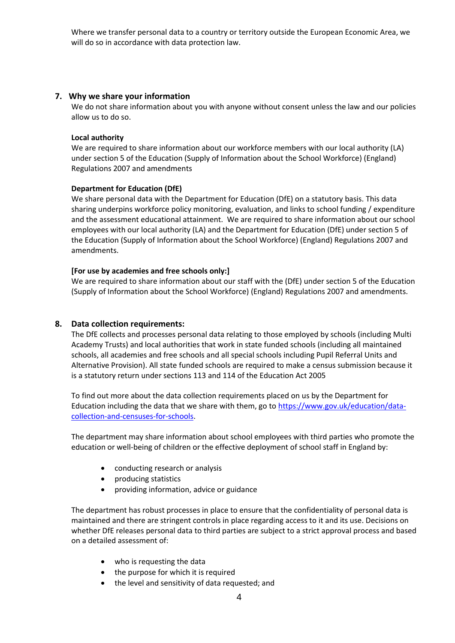Where we transfer personal data to a country or territory outside the European Economic Area, we will do so in accordance with data protection law.

#### **7. Why we share your information**

We do not share information about you with anyone without consent unless the law and our policies allow us to do so.

#### **Local authority**

We are required to share information about our workforce members with our local authority (LA) under section 5 of the Education (Supply of Information about the School Workforce) (England) Regulations 2007 and amendments

#### **Department for Education (DfE)**

We share personal data with the Department for Education (DfE) on a statutory basis. This data sharing underpins workforce policy monitoring, evaluation, and links to school funding / expenditure and the assessment educational attainment. We are required to share information about our school employees with our local authority (LA) and the Department for Education (DfE) under section 5 of the Education (Supply of Information about the School Workforce) (England) Regulations 2007 and amendments.

#### **[For use by academies and free schools only:]**

We are required to share information about our staff with the (DfE) under section 5 of the Education (Supply of Information about the School Workforce) (England) Regulations 2007 and amendments.

# **8. Data collection requirements:**

The DfE collects and processes personal data relating to those employed by schools (including Multi Academy Trusts) and local authorities that work in state funded schools (including all maintained schools, all academies and free schools and all special schools including Pupil Referral Units and Alternative Provision). All state funded schools are required to make a census submission because it is a statutory return under sections 113 and 114 of the Education Act 2005

To find out more about the data collection requirements placed on us by the Department for Education including the data that we share with them, go to [https://www.gov.uk/education/data](https://www.gov.uk/education/data-collection-and-censuses-for-schools)[collection-and-censuses-for-schools.](https://www.gov.uk/education/data-collection-and-censuses-for-schools)

The department may share information about school employees with third parties who promote the education or well-being of children or the effective deployment of school staff in England by:

- conducting research or analysis
- producing statistics
- providing information, advice or guidance

The department has robust processes in place to ensure that the confidentiality of personal data is maintained and there are stringent controls in place regarding access to it and its use. Decisions on whether DfE releases personal data to third parties are subject to a strict approval process and based on a detailed assessment of:

- who is requesting the data
- the purpose for which it is required
- the level and sensitivity of data requested; and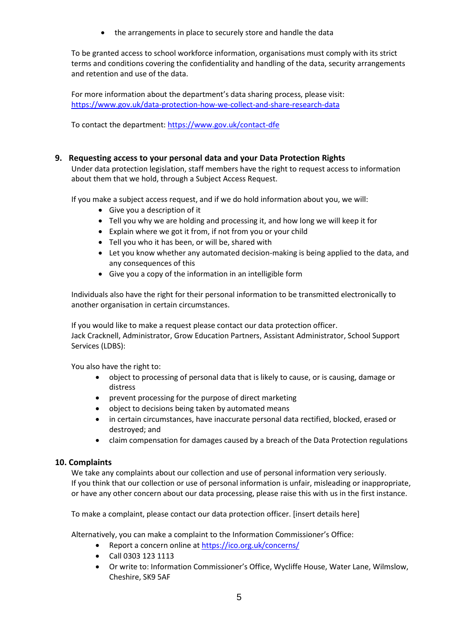the arrangements in place to securely store and handle the data

To be granted access to school workforce information, organisations must comply with its strict terms and conditions covering the confidentiality and handling of the data, security arrangements and retention and use of the data.

For more information about the department's data sharing process, please visit: <https://www.gov.uk/data-protection-how-we-collect-and-share-research-data>

To contact the department:<https://www.gov.uk/contact-dfe>

# **9. Requesting access to your personal data and your Data Protection Rights**

Under data protection legislation, staff members have the right to request access to information about them that we hold, through a Subject Access Request.

If you make a subject access request, and if we do hold information about you, we will:

- Give you a description of it
- Tell you why we are holding and processing it, and how long we will keep it for
- Explain where we got it from, if not from you or your child
- Tell you who it has been, or will be, shared with
- Let you know whether any automated decision-making is being applied to the data, and any consequences of this
- Give you a copy of the information in an intelligible form

Individuals also have the right for their personal information to be transmitted electronically to another organisation in certain circumstances.

If you would like to make a request please contact our data protection officer. Jack Cracknell, Administrator, Grow Education Partners, Assistant Administrator, School Support Services (LDBS):

You also have the right to:

- object to processing of personal data that is likely to cause, or is causing, damage or distress
- prevent processing for the purpose of direct marketing
- object to decisions being taken by automated means
- in certain circumstances, have inaccurate personal data rectified, blocked, erased or destroyed; and
- claim compensation for damages caused by a breach of the Data Protection regulations

# **10. Complaints**

We take any complaints about our collection and use of personal information very seriously. If you think that our collection or use of personal information is unfair, misleading or inappropriate, or have any other concern about our data processing, please raise this with us in the first instance.

To make a complaint, please contact our data protection officer. [insert details here]

Alternatively, you can make a complaint to the Information Commissioner's Office:

- Report a concern online at<https://ico.org.uk/concerns/>
- Call 0303 123 1113
- Or write to: Information Commissioner's Office, Wycliffe House, Water Lane, Wilmslow, Cheshire, SK9 5AF